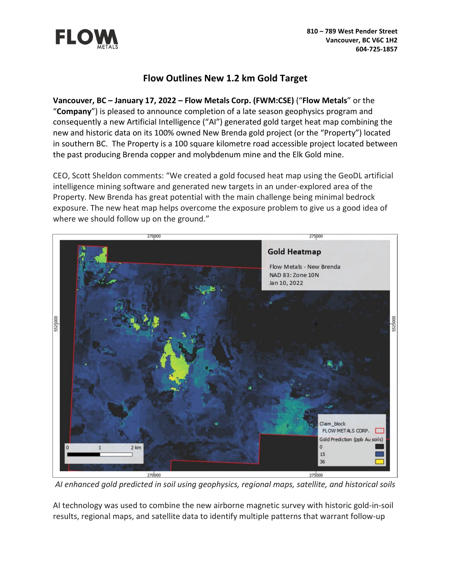

# **Flow Outlines New 1.2 km Gold Target**

**Vancouver, BC – January 17, 2022 – Flow Metals Corp. (FWM:CSE)** ("**Flow Metals**" or the "**Company**") is pleased to announce completion of a late season geophysics program and consequently a new Artificial Intelligence ("AI") generated gold target heat map combining the new and historic data on its 100% owned New Brenda gold project (or the "Property") located in southern BC. The Property is a 100 square kilometre road accessible project located between the past producing Brenda copper and molybdenum mine and the Elk Gold mine.

CEO, Scott Sheldon comments: "We created a gold focused heat map using the GeoDL artificial intelligence mining software and generated new targets in an under-explored area of the Property. New Brenda has great potential with the main challenge being minimal bedrock exposure. The new heat map helps overcome the exposure problem to give us a good idea of where we should follow up on the ground."



*AI enhanced gold predicted in soil using geophysics, regional maps, satellite, and historical soils*

AI technology was used to combine the new airborne magnetic survey with historic gold-in-soil results, regional maps, and satellite data to identify multiple patterns that warrant follow-up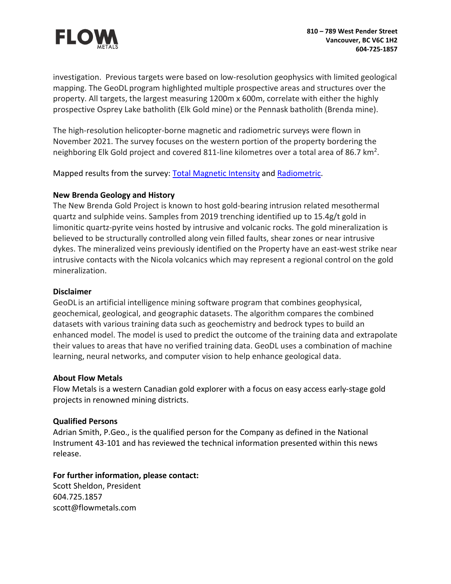

investigation. Previous targets were based on low-resolution geophysics with limited geological mapping. The GeoDL program highlighted multiple prospective areas and structures over the property. All targets, the largest measuring 1200m x 600m, correlate with either the highly prospective Osprey Lake batholith (Elk Gold mine) or the Pennask batholith (Brenda mine).

The high-resolution helicopter-borne magnetic and radiometric surveys were flown in November 2021. The survey focuses on the western portion of the property bordering the neighboring Elk Gold project and covered 811-line kilometres over a total area of 86.7 km<sup>2</sup>.

Mapped results from the survey: [Total Magnetic Intensity](https://flowmetals.com/NB_Geo2021/TMI.pdf) and [Radiometric.](https://flowmetals.com/NB_Geo2021/RAD.pdf)

## **New Brenda Geology and History**

The New Brenda Gold Project is known to host gold-bearing intrusion related mesothermal quartz and sulphide veins. Samples from 2019 trenching identified up to 15.4g/t gold in limonitic quartz-pyrite veins hosted by intrusive and volcanic rocks. The gold mineralization is believed to be structurally controlled along vein filled faults, shear zones or near intrusive dykes. The mineralized veins previously identified on the Property have an east-west strike near intrusive contacts with the Nicola volcanics which may represent a regional control on the gold mineralization.

### **Disclaimer**

GeoDL is an artificial intelligence mining software program that combines geophysical, geochemical, geological, and geographic datasets. The algorithm compares the combined datasets with various training data such as geochemistry and bedrock types to build an enhanced model. The model is used to predict the outcome of the training data and extrapolate their values to areas that have no verified training data. GeoDL uses a combination of machine learning, neural networks, and computer vision to help enhance geological data.

### **About Flow Metals**

Flow Metals is a western Canadian gold explorer with a focus on easy access early-stage gold projects in renowned mining districts.

### **Qualified Persons**

Adrian Smith, P.Geo., is the qualified person for the Company as defined in the National Instrument 43-101 and has reviewed the technical information presented within this news release.

### **For further information, please contact:**

Scott Sheldon, President 604.725.1857 scott@flowmetals.com